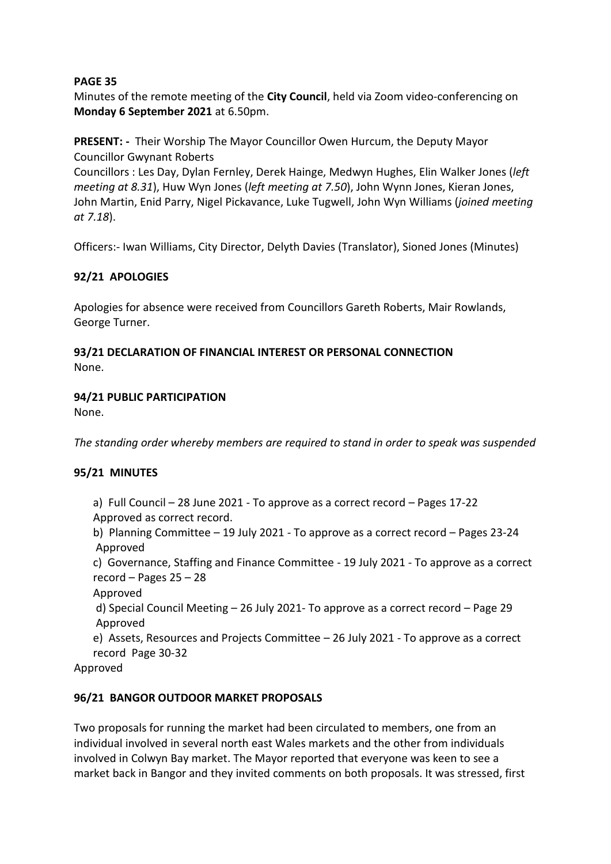Minutes of the remote meeting of the **City Council**, held via Zoom video-conferencing on **Monday 6 September 2021** at 6.50pm.

**PRESENT: -** Their Worship The Mayor Councillor Owen Hurcum, the Deputy Mayor Councillor Gwynant Roberts

Councillors : Les Day, Dylan Fernley, Derek Hainge, Medwyn Hughes, Elin Walker Jones (*left meeting at 8.31*), Huw Wyn Jones (*left meeting at 7.50*), John Wynn Jones, Kieran Jones, John Martin, Enid Parry, Nigel Pickavance, Luke Tugwell, John Wyn Williams (*joined meeting at 7.18*).

Officers:- Iwan Williams, City Director, Delyth Davies (Translator), Sioned Jones (Minutes)

## **92/21 APOLOGIES**

Apologies for absence were received from Councillors Gareth Roberts, Mair Rowlands, George Turner.

#### **93/21 DECLARATION OF FINANCIAL INTEREST OR PERSONAL CONNECTION** None.

## **94/21 PUBLIC PARTICIPATION**

None.

*The standing order whereby members are required to stand in order to speak was suspended*

## **95/21 MINUTES**

- a) Full Council 28 June 2021 To approve as a correct record Pages 17-22 Approved as correct record.
- b) Planning Committee 19 July 2021 To approve as a correct record Pages 23-24 Approved

c) Governance, Staffing and Finance Committee - 19 July 2021 - To approve as a correct record – Pages 25 – 28

Approved

d) Special Council Meeting – 26 July 2021- To approve as a correct record – Page 29 Approved

e) Assets, Resources and Projects Committee – 26 July 2021 - To approve as a correct record Page 30-32

Approved

## **96/21 BANGOR OUTDOOR MARKET PROPOSALS**

Two proposals for running the market had been circulated to members, one from an individual involved in several north east Wales markets and the other from individuals involved in Colwyn Bay market. The Mayor reported that everyone was keen to see a market back in Bangor and they invited comments on both proposals. It was stressed, first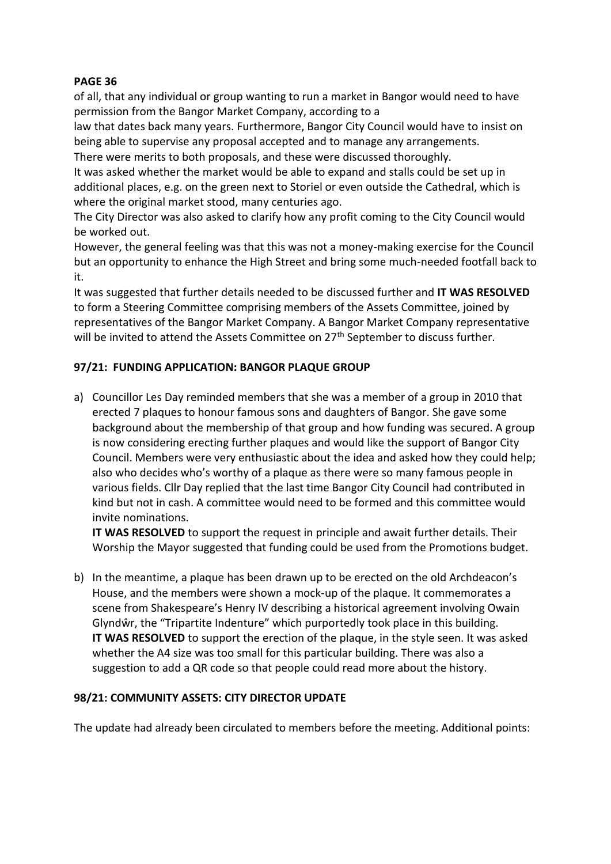of all, that any individual or group wanting to run a market in Bangor would need to have permission from the Bangor Market Company, according to a

law that dates back many years. Furthermore, Bangor City Council would have to insist on being able to supervise any proposal accepted and to manage any arrangements. There were merits to both proposals, and these were discussed thoroughly.

It was asked whether the market would be able to expand and stalls could be set up in additional places, e.g. on the green next to Storiel or even outside the Cathedral, which is where the original market stood, many centuries ago.

The City Director was also asked to clarify how any profit coming to the City Council would be worked out.

However, the general feeling was that this was not a money-making exercise for the Council but an opportunity to enhance the High Street and bring some much-needed footfall back to it.

It was suggested that further details needed to be discussed further and **IT WAS RESOLVED** to form a Steering Committee comprising members of the Assets Committee, joined by representatives of the Bangor Market Company. A Bangor Market Company representative will be invited to attend the Assets Committee on 27<sup>th</sup> September to discuss further.

## **97/21: FUNDING APPLICATION: BANGOR PLAQUE GROUP**

a) Councillor Les Day reminded members that she was a member of a group in 2010 that erected 7 plaques to honour famous sons and daughters of Bangor. She gave some background about the membership of that group and how funding was secured. A group is now considering erecting further plaques and would like the support of Bangor City Council. Members were very enthusiastic about the idea and asked how they could help; also who decides who's worthy of a plaque as there were so many famous people in various fields. Cllr Day replied that the last time Bangor City Council had contributed in kind but not in cash. A committee would need to be formed and this committee would invite nominations.

**IT WAS RESOLVED** to support the request in principle and await further details. Their Worship the Mayor suggested that funding could be used from the Promotions budget.

b) In the meantime, a plaque has been drawn up to be erected on the old Archdeacon's House, and the members were shown a mock-up of the plaque. It commemorates a scene from Shakespeare's Henry IV describing a historical agreement involving Owain Glyndŵr, the "Tripartite Indenture" which purportedly took place in this building. **IT WAS RESOLVED** to support the erection of the plaque, in the style seen. It was asked whether the A4 size was too small for this particular building. There was also a suggestion to add a QR code so that people could read more about the history.

## **98/21: COMMUNITY ASSETS: CITY DIRECTOR UPDATE**

The update had already been circulated to members before the meeting. Additional points: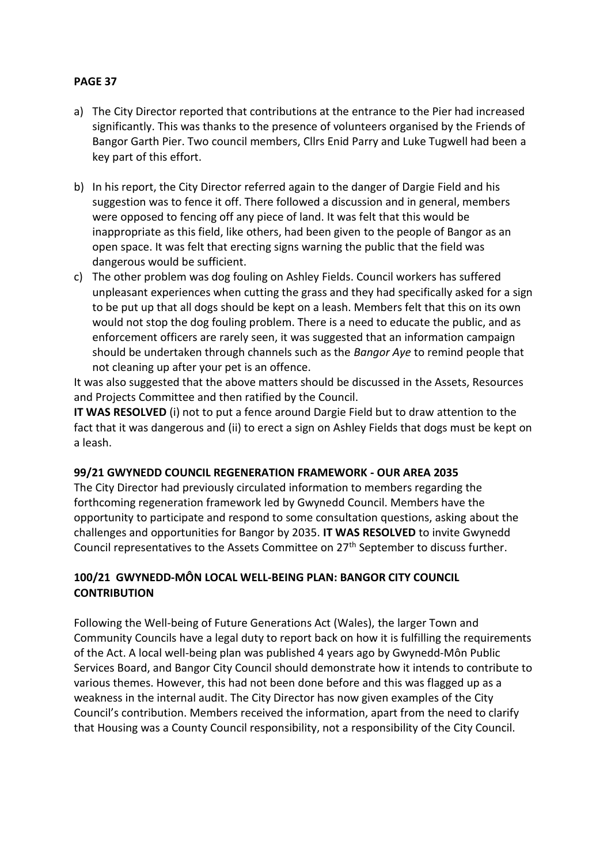- a) The City Director reported that contributions at the entrance to the Pier had increased significantly. This was thanks to the presence of volunteers organised by the Friends of Bangor Garth Pier. Two council members, Cllrs Enid Parry and Luke Tugwell had been a key part of this effort.
- b) In his report, the City Director referred again to the danger of Dargie Field and his suggestion was to fence it off. There followed a discussion and in general, members were opposed to fencing off any piece of land. It was felt that this would be inappropriate as this field, like others, had been given to the people of Bangor as an open space. It was felt that erecting signs warning the public that the field was dangerous would be sufficient.
- c) The other problem was dog fouling on Ashley Fields. Council workers has suffered unpleasant experiences when cutting the grass and they had specifically asked for a sign to be put up that all dogs should be kept on a leash. Members felt that this on its own would not stop the dog fouling problem. There is a need to educate the public, and as enforcement officers are rarely seen, it was suggested that an information campaign should be undertaken through channels such as the *Bangor Aye* to remind people that not cleaning up after your pet is an offence.

It was also suggested that the above matters should be discussed in the Assets, Resources and Projects Committee and then ratified by the Council.

**IT WAS RESOLVED** (i) not to put a fence around Dargie Field but to draw attention to the fact that it was dangerous and (ii) to erect a sign on Ashley Fields that dogs must be kept on a leash.

#### **99/21 GWYNEDD COUNCIL REGENERATION FRAMEWORK - OUR AREA 2035**

The City Director had previously circulated information to members regarding the forthcoming regeneration framework led by Gwynedd Council. Members have the opportunity to participate and respond to some consultation questions, asking about the challenges and opportunities for Bangor by 2035. **IT WAS RESOLVED** to invite Gwynedd Council representatives to the Assets Committee on 27<sup>th</sup> September to discuss further.

## **100/21 GWYNEDD-MÔN LOCAL WELL-BEING PLAN: BANGOR CITY COUNCIL CONTRIBUTION**

Following the Well-being of Future Generations Act (Wales), the larger Town and Community Councils have a legal duty to report back on how it is fulfilling the requirements of the Act. A local well-being plan was published 4 years ago by Gwynedd-Môn Public Services Board, and Bangor City Council should demonstrate how it intends to contribute to various themes. However, this had not been done before and this was flagged up as a weakness in the internal audit. The City Director has now given examples of the City Council's contribution. Members received the information, apart from the need to clarify that Housing was a County Council responsibility, not a responsibility of the City Council.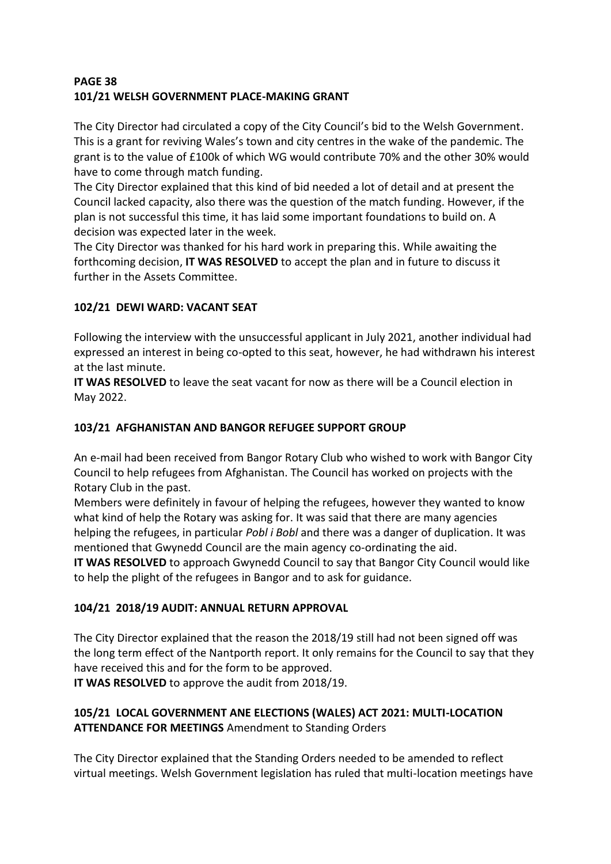## **PAGE 38 101/21 WELSH GOVERNMENT PLACE-MAKING GRANT**

The City Director had circulated a copy of the City Council's bid to the Welsh Government. This is a grant for reviving Wales's town and city centres in the wake of the pandemic. The grant is to the value of £100k of which WG would contribute 70% and the other 30% would have to come through match funding.

The City Director explained that this kind of bid needed a lot of detail and at present the Council lacked capacity, also there was the question of the match funding. However, if the plan is not successful this time, it has laid some important foundations to build on. A decision was expected later in the week.

The City Director was thanked for his hard work in preparing this. While awaiting the forthcoming decision, **IT WAS RESOLVED** to accept the plan and in future to discuss it further in the Assets Committee.

# **102/21 DEWI WARD: VACANT SEAT**

Following the interview with the unsuccessful applicant in July 2021, another individual had expressed an interest in being co-opted to this seat, however, he had withdrawn his interest at the last minute.

**IT WAS RESOLVED** to leave the seat vacant for now as there will be a Council election in May 2022.

# **103/21 AFGHANISTAN AND BANGOR REFUGEE SUPPORT GROUP**

An e-mail had been received from Bangor Rotary Club who wished to work with Bangor City Council to help refugees from Afghanistan. The Council has worked on projects with the Rotary Club in the past.

Members were definitely in favour of helping the refugees, however they wanted to know what kind of help the Rotary was asking for. It was said that there are many agencies helping the refugees, in particular *Pobl i Bobl* and there was a danger of duplication. It was mentioned that Gwynedd Council are the main agency co-ordinating the aid.

**IT WAS RESOLVED** to approach Gwynedd Council to say that Bangor City Council would like to help the plight of the refugees in Bangor and to ask for guidance.

# **104/21 2018/19 AUDIT: ANNUAL RETURN APPROVAL**

The City Director explained that the reason the 2018/19 still had not been signed off was the long term effect of the Nantporth report. It only remains for the Council to say that they have received this and for the form to be approved.

**IT WAS RESOLVED** to approve the audit from 2018/19.

## **105/21 LOCAL GOVERNMENT ANE ELECTIONS (WALES) ACT 2021: MULTI-LOCATION ATTENDANCE FOR MEETINGS** Amendment to Standing Orders

The City Director explained that the Standing Orders needed to be amended to reflect virtual meetings. Welsh Government legislation has ruled that multi-location meetings have